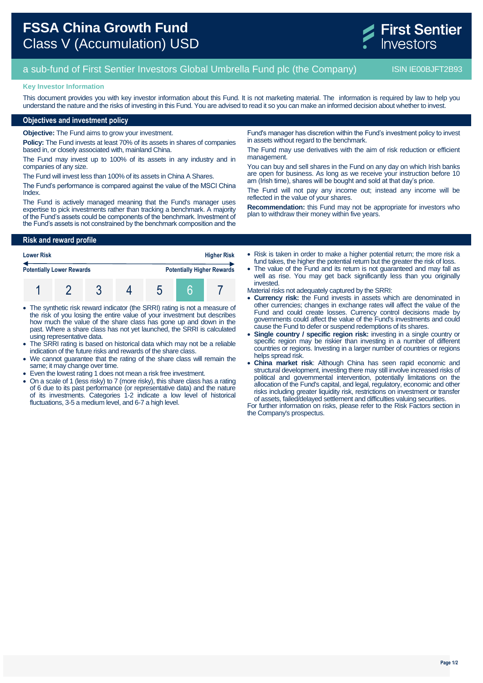

# a sub-fund of First Sentier Investors Global Umbrella Fund plc (the Company) ISIN IE00BJFT2B93

## **Key Investor Information**

This document provides you with key investor information about this Fund. It is not marketing material. The information is required by law to help you understand the nature and the risks of investing in this Fund. You are advised to read it so you can make an informed decision about whether to invest.

# **Objectives and investment policy**

**Objective:** The Fund aims to grow your investment.

**Policy:** The Fund invests at least 70% of its assets in shares of companies based in, or closely associated with, mainland China.

The Fund may invest up to 100% of its assets in any industry and in companies of any size.

The Fund will invest less than 100% of its assets in China A Shares.

The Fund's performance is compared against the value of the MSCI China Index.

The Fund is actively managed meaning that the Fund's manager uses expertise to pick investments rather than tracking a benchmark. A majority of the Fund's assets could be components of the benchmark. Investment of the Fund's assets is not constrained by the benchmark composition and the

**Risk and reward profile**

| <b>Higher Risk</b><br><b>Lower Risk</b>                               |  |  |  |  |  |  |
|-----------------------------------------------------------------------|--|--|--|--|--|--|
| <b>Potentially Higher Rewards</b><br><b>Potentially Lower Rewards</b> |  |  |  |  |  |  |
|                                                                       |  |  |  |  |  |  |

- The synthetic risk reward indicator (the SRRI) rating is not a measure of the risk of you losing the entire value of your investment but describes how much the value of the share class has gone up and down in the past. Where a share class has not yet launched, the SRRI is calculated using representative data.
- The SRRI rating is based on historical data which may not be a reliable indication of the future risks and rewards of the share class.
- We cannot guarantee that the rating of the share class will remain the same; it may change over time.
- Even the lowest rating 1 does not mean a risk free investment.
- On a scale of 1 (less risky) to 7 (more risky), this share class has a rating of 6 due to its past performance (or representative data) and the nature of its investments. Categories 1-2 indicate a low level of historical fluctuations, 3-5 a medium level, and 6-7 a high level.

Fund's manager has discretion within the Fund's investment policy to invest in assets without regard to the benchmark.

The Fund may use derivatives with the aim of risk reduction or efficient management.

You can buy and sell shares in the Fund on any day on which Irish banks are open for business. As long as we receive your instruction before 10 am (Irish time), shares will be bought and sold at that day's price.

The Fund will not pay any income out; instead any income will be reflected in the value of your shares.

**Recommendation:** this Fund may not be appropriate for investors who plan to withdraw their money within five years.

 Risk is taken in order to make a higher potential return; the more risk a fund takes, the higher the potential return but the greater the risk of loss.

• The value of the Fund and its return is not quaranteed and may fall as well as rise. You may get back significantly less than you originally invested.

Material risks not adequately captured by the SRRI:

- **Currency risk:** the Fund invests in assets which are denominated in other currencies; changes in exchange rates will affect the value of the Fund and could create losses. Currency control decisions made by governments could affect the value of the Fund's investments and could cause the Fund to defer or suspend redemptions of its shares.
- **Single country / specific region risk:** investing in a single country or specific region may be riskier than investing in a number of different countries or regions. Investing in a larger number of countries or regions helps spread risk.
- **China market risk**: Although China has seen rapid economic and structural development, investing there may still involve increased risks of political and governmental intervention, potentially limitations on the allocation of the Fund's capital, and legal, regulatory, economic and other risks including greater liquidity risk, restrictions on investment or transfer of assets, failed/delayed settlement and difficulties valuing securities.

For further information on risks, please refer to the Risk Factors section in the Company's prospectus.